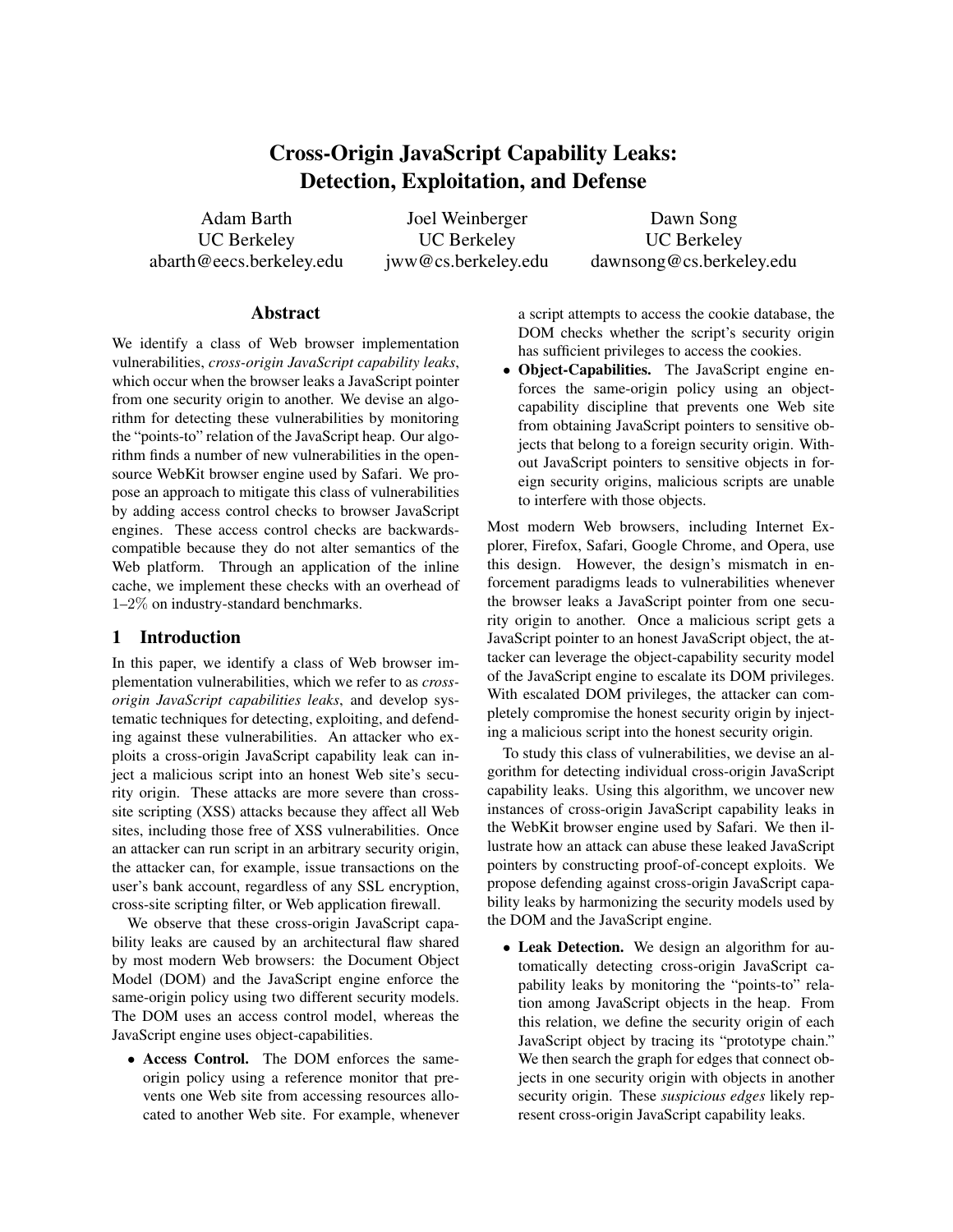# Cross-Origin JavaScript Capability Leaks: Detection, Exploitation, and Defense

Adam Barth UC Berkeley abarth@eecs.berkeley.edu

Joel Weinberger UC Berkeley jww@cs.berkeley.edu

Dawn Song UC Berkeley dawnsong@cs.berkeley.edu

#### Abstract

We identify a class of Web browser implementation vulnerabilities, *cross-origin JavaScript capability leaks*, which occur when the browser leaks a JavaScript pointer from one security origin to another. We devise an algorithm for detecting these vulnerabilities by monitoring the "points-to" relation of the JavaScript heap. Our algorithm finds a number of new vulnerabilities in the opensource WebKit browser engine used by Safari. We propose an approach to mitigate this class of vulnerabilities by adding access control checks to browser JavaScript engines. These access control checks are backwardscompatible because they do not alter semantics of the Web platform. Through an application of the inline cache, we implement these checks with an overhead of 1–2% on industry-standard benchmarks.

#### 1 Introduction

In this paper, we identify a class of Web browser implementation vulnerabilities, which we refer to as *crossorigin JavaScript capabilities leaks*, and develop systematic techniques for detecting, exploiting, and defending against these vulnerabilities. An attacker who exploits a cross-origin JavaScript capability leak can inject a malicious script into an honest Web site's security origin. These attacks are more severe than crosssite scripting (XSS) attacks because they affect all Web sites, including those free of XSS vulnerabilities. Once an attacker can run script in an arbitrary security origin, the attacker can, for example, issue transactions on the user's bank account, regardless of any SSL encryption, cross-site scripting filter, or Web application firewall.

We observe that these cross-origin JavaScript capability leaks are caused by an architectural flaw shared by most modern Web browsers: the Document Object Model (DOM) and the JavaScript engine enforce the same-origin policy using two different security models. The DOM uses an access control model, whereas the JavaScript engine uses object-capabilities.

• Access Control. The DOM enforces the sameorigin policy using a reference monitor that prevents one Web site from accessing resources allocated to another Web site. For example, whenever a script attempts to access the cookie database, the DOM checks whether the script's security origin has sufficient privileges to access the cookies.

• Object-Capabilities. The JavaScript engine enforces the same-origin policy using an objectcapability discipline that prevents one Web site from obtaining JavaScript pointers to sensitive objects that belong to a foreign security origin. Without JavaScript pointers to sensitive objects in foreign security origins, malicious scripts are unable to interfere with those objects.

Most modern Web browsers, including Internet Explorer, Firefox, Safari, Google Chrome, and Opera, use this design. However, the design's mismatch in enforcement paradigms leads to vulnerabilities whenever the browser leaks a JavaScript pointer from one security origin to another. Once a malicious script gets a JavaScript pointer to an honest JavaScript object, the attacker can leverage the object-capability security model of the JavaScript engine to escalate its DOM privileges. With escalated DOM privileges, the attacker can completely compromise the honest security origin by injecting a malicious script into the honest security origin.

To study this class of vulnerabilities, we devise an algorithm for detecting individual cross-origin JavaScript capability leaks. Using this algorithm, we uncover new instances of cross-origin JavaScript capability leaks in the WebKit browser engine used by Safari. We then illustrate how an attack can abuse these leaked JavaScript pointers by constructing proof-of-concept exploits. We propose defending against cross-origin JavaScript capability leaks by harmonizing the security models used by the DOM and the JavaScript engine.

• Leak Detection. We design an algorithm for automatically detecting cross-origin JavaScript capability leaks by monitoring the "points-to" relation among JavaScript objects in the heap. From this relation, we define the security origin of each JavaScript object by tracing its "prototype chain." We then search the graph for edges that connect objects in one security origin with objects in another security origin. These *suspicious edges* likely represent cross-origin JavaScript capability leaks.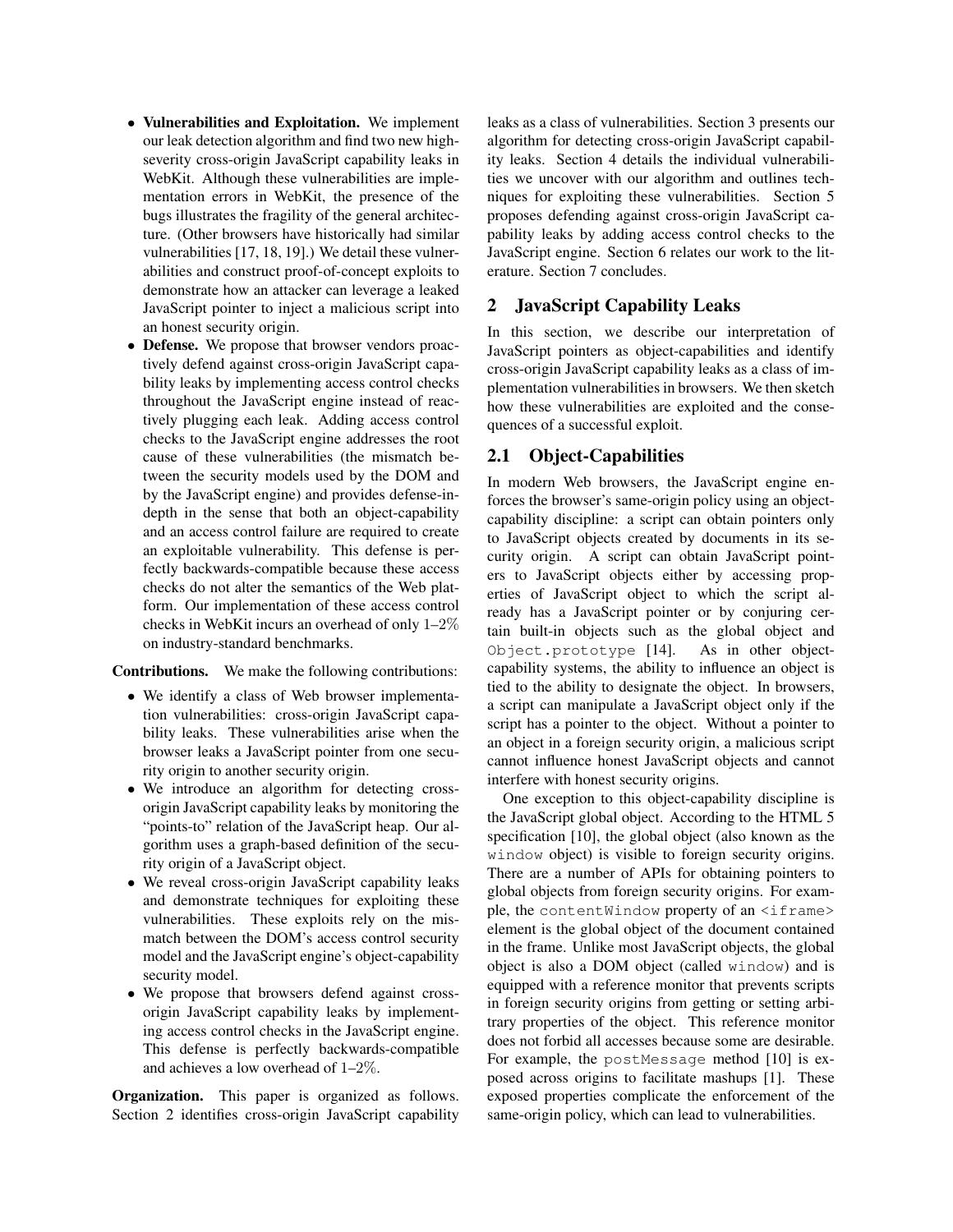- Vulnerabilities and Exploitation. We implement our leak detection algorithm and find two new highseverity cross-origin JavaScript capability leaks in WebKit. Although these vulnerabilities are implementation errors in WebKit, the presence of the bugs illustrates the fragility of the general architecture. (Other browsers have historically had similar vulnerabilities [17, 18, 19].) We detail these vulnerabilities and construct proof-of-concept exploits to demonstrate how an attacker can leverage a leaked JavaScript pointer to inject a malicious script into an honest security origin.
- Defense. We propose that browser vendors proactively defend against cross-origin JavaScript capability leaks by implementing access control checks throughout the JavaScript engine instead of reactively plugging each leak. Adding access control checks to the JavaScript engine addresses the root cause of these vulnerabilities (the mismatch between the security models used by the DOM and by the JavaScript engine) and provides defense-indepth in the sense that both an object-capability and an access control failure are required to create an exploitable vulnerability. This defense is perfectly backwards-compatible because these access checks do not alter the semantics of the Web platform. Our implementation of these access control checks in WebKit incurs an overhead of only 1–2% on industry-standard benchmarks.

Contributions. We make the following contributions:

- We identify a class of Web browser implementation vulnerabilities: cross-origin JavaScript capability leaks. These vulnerabilities arise when the browser leaks a JavaScript pointer from one security origin to another security origin.
- We introduce an algorithm for detecting crossorigin JavaScript capability leaks by monitoring the "points-to" relation of the JavaScript heap. Our algorithm uses a graph-based definition of the security origin of a JavaScript object.
- We reveal cross-origin JavaScript capability leaks and demonstrate techniques for exploiting these vulnerabilities. These exploits rely on the mismatch between the DOM's access control security model and the JavaScript engine's object-capability security model.
- We propose that browsers defend against crossorigin JavaScript capability leaks by implementing access control checks in the JavaScript engine. This defense is perfectly backwards-compatible and achieves a low overhead of 1–2%.

Organization. This paper is organized as follows. Section 2 identifies cross-origin JavaScript capability leaks as a class of vulnerabilities. Section 3 presents our algorithm for detecting cross-origin JavaScript capability leaks. Section 4 details the individual vulnerabilities we uncover with our algorithm and outlines techniques for exploiting these vulnerabilities. Section 5 proposes defending against cross-origin JavaScript capability leaks by adding access control checks to the JavaScript engine. Section 6 relates our work to the literature. Section 7 concludes.

#### 2 JavaScript Capability Leaks

In this section, we describe our interpretation of JavaScript pointers as object-capabilities and identify cross-origin JavaScript capability leaks as a class of implementation vulnerabilities in browsers. We then sketch how these vulnerabilities are exploited and the consequences of a successful exploit.

#### 2.1 Object-Capabilities

In modern Web browsers, the JavaScript engine enforces the browser's same-origin policy using an objectcapability discipline: a script can obtain pointers only to JavaScript objects created by documents in its security origin. A script can obtain JavaScript pointers to JavaScript objects either by accessing properties of JavaScript object to which the script already has a JavaScript pointer or by conjuring certain built-in objects such as the global object and Object.prototype [14]. As in other objectcapability systems, the ability to influence an object is tied to the ability to designate the object. In browsers, a script can manipulate a JavaScript object only if the script has a pointer to the object. Without a pointer to an object in a foreign security origin, a malicious script cannot influence honest JavaScript objects and cannot interfere with honest security origins.

One exception to this object-capability discipline is the JavaScript global object. According to the HTML 5 specification [10], the global object (also known as the window object) is visible to foreign security origins. There are a number of APIs for obtaining pointers to global objects from foreign security origins. For example, the contentWindow property of an <iframe> element is the global object of the document contained in the frame. Unlike most JavaScript objects, the global object is also a DOM object (called window) and is equipped with a reference monitor that prevents scripts in foreign security origins from getting or setting arbitrary properties of the object. This reference monitor does not forbid all accesses because some are desirable. For example, the postMessage method [10] is exposed across origins to facilitate mashups [1]. These exposed properties complicate the enforcement of the same-origin policy, which can lead to vulnerabilities.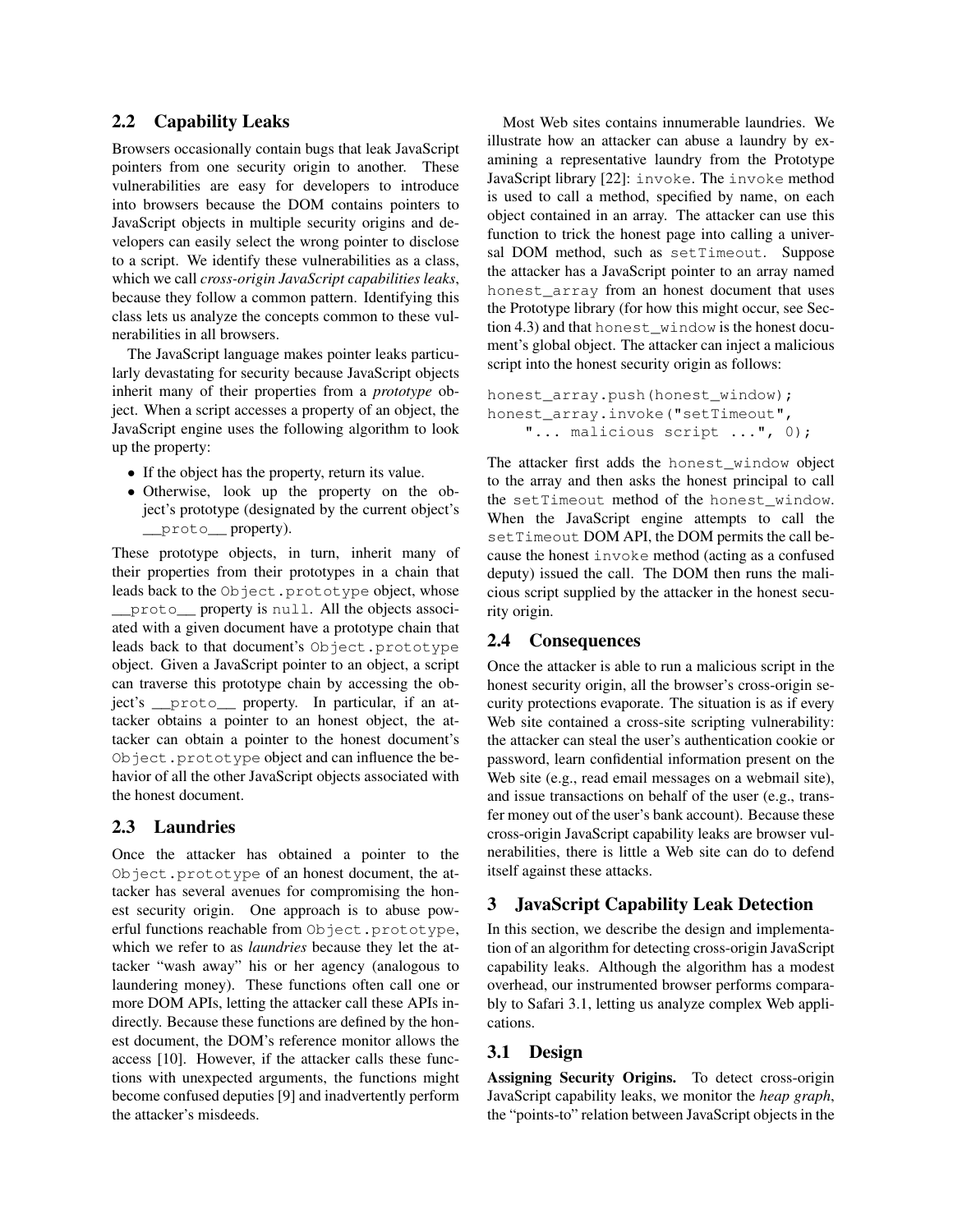#### 2.2 Capability Leaks

Browsers occasionally contain bugs that leak JavaScript pointers from one security origin to another. These vulnerabilities are easy for developers to introduce into browsers because the DOM contains pointers to JavaScript objects in multiple security origins and developers can easily select the wrong pointer to disclose to a script. We identify these vulnerabilities as a class, which we call *cross-origin JavaScript capabilities leaks*, because they follow a common pattern. Identifying this class lets us analyze the concepts common to these vulnerabilities in all browsers.

The JavaScript language makes pointer leaks particularly devastating for security because JavaScript objects inherit many of their properties from a *prototype* object. When a script accesses a property of an object, the JavaScript engine uses the following algorithm to look up the property:

- If the object has the property, return its value.
- Otherwise, look up the property on the object's prototype (designated by the current object's \_\_proto\_\_ property).

These prototype objects, in turn, inherit many of their properties from their prototypes in a chain that leads back to the Object.prototype object, whose \_\_proto\_\_ property is null. All the objects associated with a given document have a prototype chain that leads back to that document's Object.prototype object. Given a JavaScript pointer to an object, a script can traverse this prototype chain by accessing the object's \_\_proto\_\_ property. In particular, if an attacker obtains a pointer to an honest object, the attacker can obtain a pointer to the honest document's Object.prototype object and can influence the behavior of all the other JavaScript objects associated with the honest document.

### 2.3 Laundries

Once the attacker has obtained a pointer to the Object.prototype of an honest document, the attacker has several avenues for compromising the honest security origin. One approach is to abuse powerful functions reachable from Object.prototype, which we refer to as *laundries* because they let the attacker "wash away" his or her agency (analogous to laundering money). These functions often call one or more DOM APIs, letting the attacker call these APIs indirectly. Because these functions are defined by the honest document, the DOM's reference monitor allows the access [10]. However, if the attacker calls these functions with unexpected arguments, the functions might become confused deputies [9] and inadvertently perform the attacker's misdeeds.

Most Web sites contains innumerable laundries. We illustrate how an attacker can abuse a laundry by examining a representative laundry from the Prototype JavaScript library [22]: invoke. The invoke method is used to call a method, specified by name, on each object contained in an array. The attacker can use this function to trick the honest page into calling a universal DOM method, such as setTimeout. Suppose the attacker has a JavaScript pointer to an array named honest\_array from an honest document that uses the Prototype library (for how this might occur, see Section 4.3) and that honest\_window is the honest document's global object. The attacker can inject a malicious script into the honest security origin as follows:

```
honest_array.push(honest_window);
honest_array.invoke("setTimeout",
    "... malicious script ...", 0);
```
The attacker first adds the honest\_window object to the array and then asks the honest principal to call the setTimeout method of the honest\_window. When the JavaScript engine attempts to call the setTimeout DOM API, the DOM permits the call because the honest invoke method (acting as a confused deputy) issued the call. The DOM then runs the malicious script supplied by the attacker in the honest security origin.

# 2.4 Consequences

Once the attacker is able to run a malicious script in the honest security origin, all the browser's cross-origin security protections evaporate. The situation is as if every Web site contained a cross-site scripting vulnerability: the attacker can steal the user's authentication cookie or password, learn confidential information present on the Web site (e.g., read email messages on a webmail site), and issue transactions on behalf of the user (e.g., transfer money out of the user's bank account). Because these cross-origin JavaScript capability leaks are browser vulnerabilities, there is little a Web site can do to defend itself against these attacks.

# 3 JavaScript Capability Leak Detection

In this section, we describe the design and implementation of an algorithm for detecting cross-origin JavaScript capability leaks. Although the algorithm has a modest overhead, our instrumented browser performs comparably to Safari 3.1, letting us analyze complex Web applications.

### 3.1 Design

Assigning Security Origins. To detect cross-origin JavaScript capability leaks, we monitor the *heap graph*, the "points-to" relation between JavaScript objects in the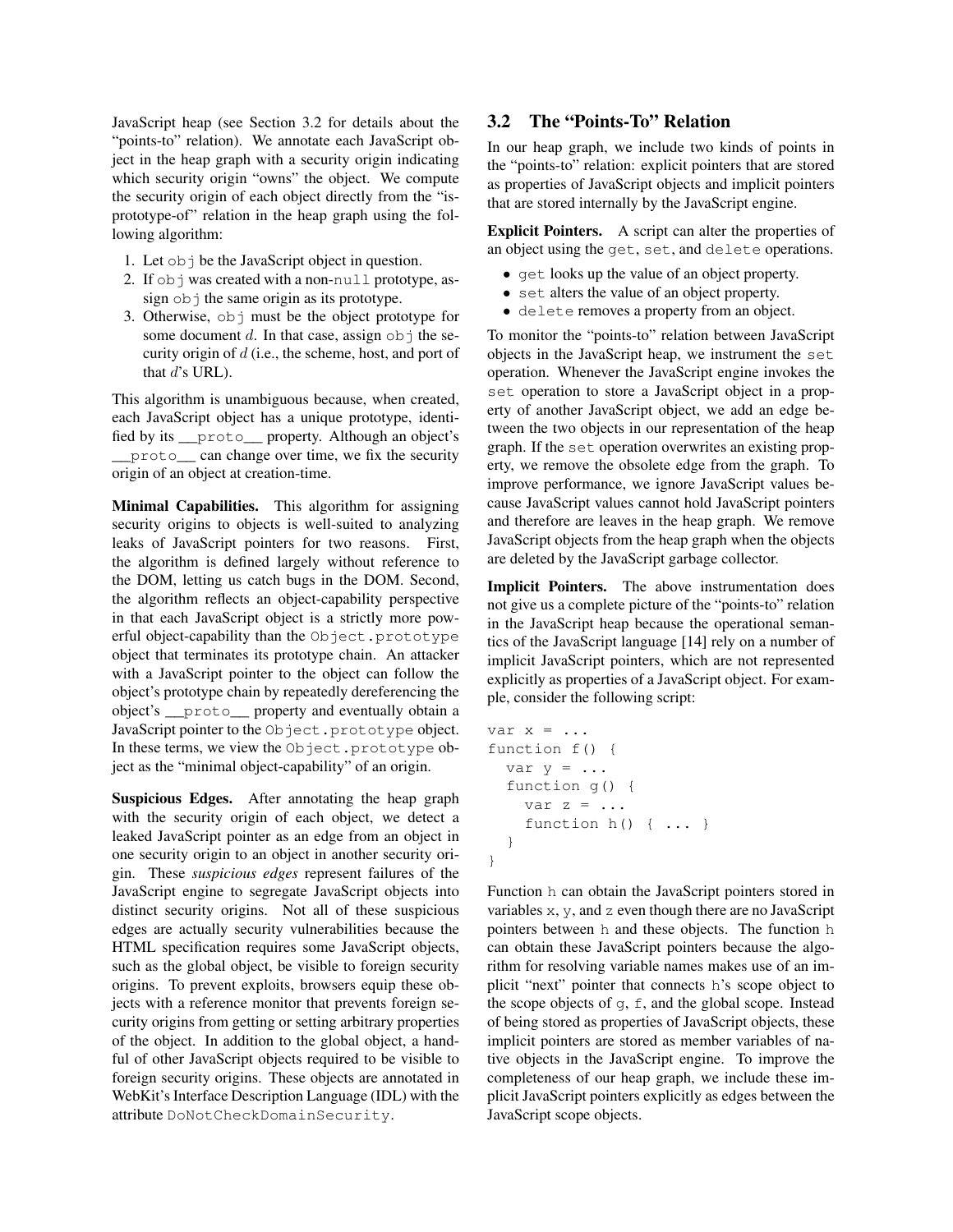JavaScript heap (see Section 3.2 for details about the "points-to" relation). We annotate each JavaScript object in the heap graph with a security origin indicating which security origin "owns" the object. We compute the security origin of each object directly from the "isprototype-of" relation in the heap graph using the following algorithm:

- 1. Let obj be the JavaScript object in question.
- 2. If obj was created with a non-null prototype, assign  $obj$  the same origin as its prototype.
- 3. Otherwise, obj must be the object prototype for some document d. In that case, assign  $\circ$ b i the security origin of d (i.e., the scheme, host, and port of that  $d$ 's URL).

This algorithm is unambiguous because, when created, each JavaScript object has a unique prototype, identified by its \_\_proto\_\_ property. Although an object's \_\_proto\_\_ can change over time, we fix the security origin of an object at creation-time.

Minimal Capabilities. This algorithm for assigning security origins to objects is well-suited to analyzing leaks of JavaScript pointers for two reasons. First, the algorithm is defined largely without reference to the DOM, letting us catch bugs in the DOM. Second, the algorithm reflects an object-capability perspective in that each JavaScript object is a strictly more powerful object-capability than the Object.prototype object that terminates its prototype chain. An attacker with a JavaScript pointer to the object can follow the object's prototype chain by repeatedly dereferencing the object's \_\_proto\_\_ property and eventually obtain a JavaScript pointer to the Object.prototype object. In these terms, we view the Object.prototype object as the "minimal object-capability" of an origin.

Suspicious Edges. After annotating the heap graph with the security origin of each object, we detect a leaked JavaScript pointer as an edge from an object in one security origin to an object in another security origin. These *suspicious edges* represent failures of the JavaScript engine to segregate JavaScript objects into distinct security origins. Not all of these suspicious edges are actually security vulnerabilities because the HTML specification requires some JavaScript objects, such as the global object, be visible to foreign security origins. To prevent exploits, browsers equip these objects with a reference monitor that prevents foreign security origins from getting or setting arbitrary properties of the object. In addition to the global object, a handful of other JavaScript objects required to be visible to foreign security origins. These objects are annotated in WebKit's Interface Description Language (IDL) with the attribute DoNotCheckDomainSecurity.

## 3.2 The "Points-To" Relation

In our heap graph, we include two kinds of points in the "points-to" relation: explicit pointers that are stored as properties of JavaScript objects and implicit pointers that are stored internally by the JavaScript engine.

Explicit Pointers. A script can alter the properties of an object using the get, set, and delete operations.

- get looks up the value of an object property.
- set alters the value of an object property.
- delete removes a property from an object.

To monitor the "points-to" relation between JavaScript objects in the JavaScript heap, we instrument the set operation. Whenever the JavaScript engine invokes the set operation to store a JavaScript object in a property of another JavaScript object, we add an edge between the two objects in our representation of the heap graph. If the set operation overwrites an existing property, we remove the obsolete edge from the graph. To improve performance, we ignore JavaScript values because JavaScript values cannot hold JavaScript pointers and therefore are leaves in the heap graph. We remove JavaScript objects from the heap graph when the objects are deleted by the JavaScript garbage collector.

Implicit Pointers. The above instrumentation does not give us a complete picture of the "points-to" relation in the JavaScript heap because the operational semantics of the JavaScript language [14] rely on a number of implicit JavaScript pointers, which are not represented explicitly as properties of a JavaScript object. For example, consider the following script:

```
var x = ...function f() {
  var y = \ldotsfunction g() {
    var z = ...function h() { ... }
  }
}
```
Function h can obtain the JavaScript pointers stored in variables x, y, and z even though there are no JavaScript pointers between h and these objects. The function h can obtain these JavaScript pointers because the algorithm for resolving variable names makes use of an implicit "next" pointer that connects h's scope object to the scope objects of  $q, f$ , and the global scope. Instead of being stored as properties of JavaScript objects, these implicit pointers are stored as member variables of native objects in the JavaScript engine. To improve the completeness of our heap graph, we include these implicit JavaScript pointers explicitly as edges between the JavaScript scope objects.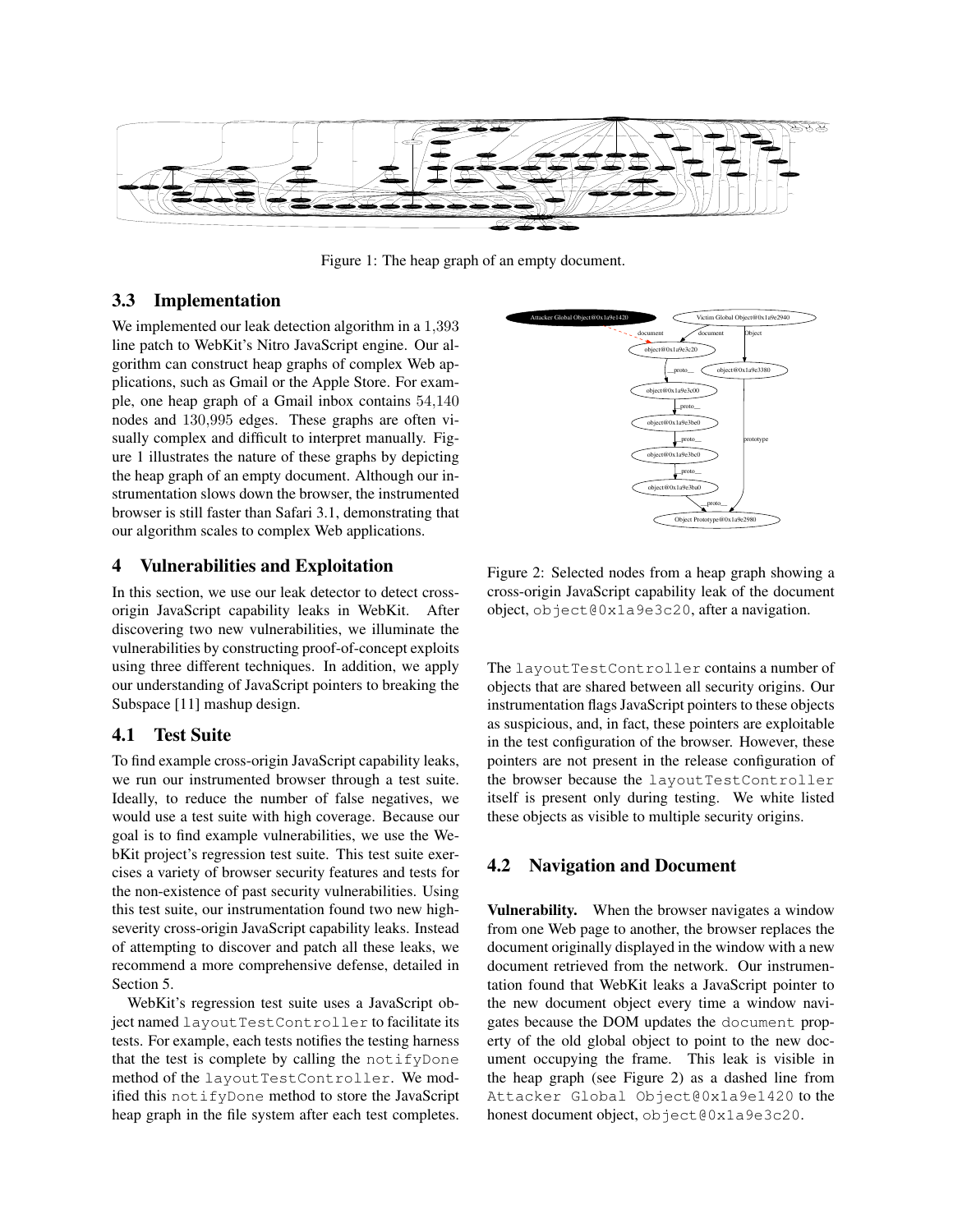

Figure 1: The heap graph of an empty document.

#### 3.3 Implementation

We implemented our leak detection algorithm in a 1,393 line patch to WebKit's Nitro JavaScript engine. Our algorithm can construct heap graphs of complex Web applications, such as Gmail or the Apple Store. For example, one heap graph of a Gmail inbox contains 54,140 nodes and 130,995 edges. These graphs are often visually complex and difficult to interpret manually. Figure 1 illustrates the nature of these graphs by depicting the heap graph of an empty document. Although our instrumentation slows down the browser, the instrumented browser is still faster than Safari 3.1, demonstrating that our algorithm scales to complex Web applications.

#### 4 Vulnerabilities and Exploitation

In this section, we use our leak detector to detect crossorigin JavaScript capability leaks in WebKit. After discovering two new vulnerabilities, we illuminate the vulnerabilities by constructing proof-of-concept exploits using three different techniques. In addition, we apply our understanding of JavaScript pointers to breaking the Subspace [11] mashup design.

#### 4.1 Test Suite

To find example cross-origin JavaScript capability leaks, we run our instrumented browser through a test suite. Ideally, to reduce the number of false negatives, we would use a test suite with high coverage. Because our goal is to find example vulnerabilities, we use the WebKit project's regression test suite. This test suite exercises a variety of browser security features and tests for the non-existence of past security vulnerabilities. Using this test suite, our instrumentation found two new highseverity cross-origin JavaScript capability leaks. Instead of attempting to discover and patch all these leaks, we recommend a more comprehensive defense, detailed in Section 5.

WebKit's regression test suite uses a JavaScript object named layoutTestController to facilitate its tests. For example, each tests notifies the testing harness that the test is complete by calling the notifyDone method of the layoutTestController. We modified this notifyDone method to store the JavaScript heap graph in the file system after each test completes.



Figure 2: Selected nodes from a heap graph showing a cross-origin JavaScript capability leak of the document object, object@0x1a9e3c20, after a navigation.

The layoutTestController contains a number of objects that are shared between all security origins. Our instrumentation flags JavaScript pointers to these objects as suspicious, and, in fact, these pointers are exploitable in the test configuration of the browser. However, these pointers are not present in the release configuration of the browser because the layoutTestController itself is present only during testing. We white listed these objects as visible to multiple security origins.

#### 4.2 Navigation and Document

Vulnerability. When the browser navigates a window from one Web page to another, the browser replaces the document originally displayed in the window with a new document retrieved from the network. Our instrumentation found that WebKit leaks a JavaScript pointer to the new document object every time a window navigates because the DOM updates the document property of the old global object to point to the new document occupying the frame. This leak is visible in the heap graph (see Figure 2) as a dashed line from Attacker Global Object@0x1a9e1420 to the honest document object, object@0x1a9e3c20.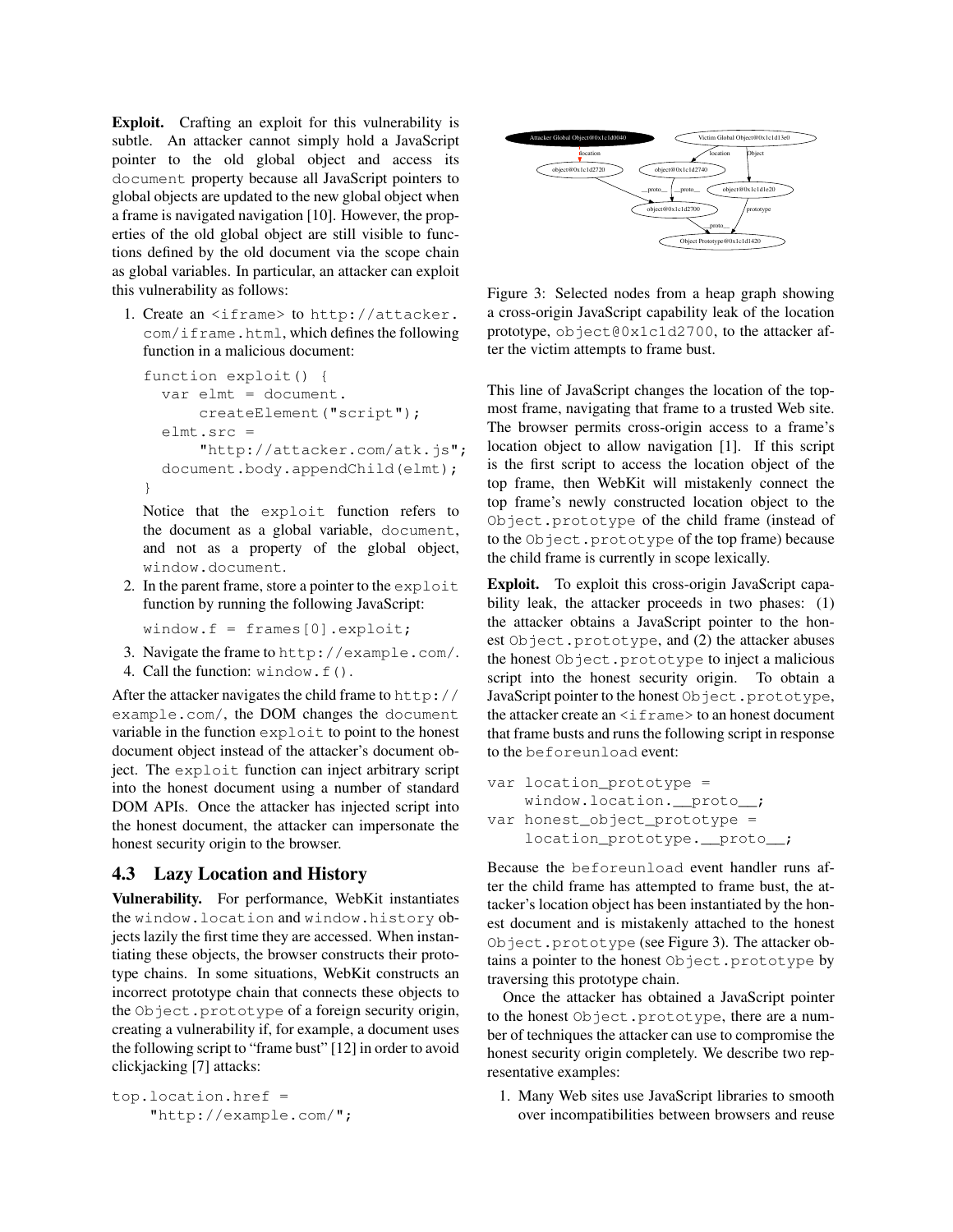Exploit. Crafting an exploit for this vulnerability is subtle. An attacker cannot simply hold a JavaScript pointer to the old global object and access its document property because all JavaScript pointers to global objects are updated to the new global object when a frame is navigated navigation [10]. However, the properties of the old global object are still visible to functions defined by the old document via the scope chain as global variables. In particular, an attacker can exploit this vulnerability as follows:

1. Create an <iframe> to http://attacker. com/iframe.html, which defines the following function in a malicious document:

```
function exploit() {
  var elmt = document.
      createElement("script");
  elmt.src =
      "http://attacker.com/atk.js";
  document.body.appendChild(elmt);
}
```
Notice that the exploit function refers to the document as a global variable, document, and not as a property of the global object, window.document.

2. In the parent frame, store a pointer to the exploit function by running the following JavaScript:

window.f = frames[0].exploit;

- 3. Navigate the frame to http://example.com/.
- 4. Call the function: window.f().

After the attacker navigates the child frame to http:// example.com/, the DOM changes the document variable in the function exploit to point to the honest document object instead of the attacker's document object. The exploit function can inject arbitrary script into the honest document using a number of standard DOM APIs. Once the attacker has injected script into the honest document, the attacker can impersonate the honest security origin to the browser.

# 4.3 Lazy Location and History

Vulnerability. For performance, WebKit instantiates the window.location and window.history objects lazily the first time they are accessed. When instantiating these objects, the browser constructs their prototype chains. In some situations, WebKit constructs an incorrect prototype chain that connects these objects to the Object.prototype of a foreign security origin, creating a vulnerability if, for example, a document uses the following script to "frame bust" [12] in order to avoid clickjacking [7] attacks:

```
top.location.href =
    "http://example.com/";
```


Figure 3: Selected nodes from a heap graph showing a cross-origin JavaScript capability leak of the location prototype, object@0x1c1d2700, to the attacker after the victim attempts to frame bust.

This line of JavaScript changes the location of the topmost frame, navigating that frame to a trusted Web site. The browser permits cross-origin access to a frame's location object to allow navigation [1]. If this script is the first script to access the location object of the top frame, then WebKit will mistakenly connect the top frame's newly constructed location object to the Object.prototype of the child frame (instead of to the Object.prototype of the top frame) because the child frame is currently in scope lexically.

Exploit. To exploit this cross-origin JavaScript capability leak, the attacker proceeds in two phases: (1) the attacker obtains a JavaScript pointer to the honest Object.prototype, and (2) the attacker abuses the honest Object.prototype to inject a malicious script into the honest security origin. To obtain a JavaScript pointer to the honest Object.prototype, the attacker create an  $\leq$  if rame  $>$  to an honest document that frame busts and runs the following script in response to the beforeunload event:

```
var location_prototype =
    window.location.__proto__;
var honest_object_prototype =
    location_prototype. __proto__;
```
Because the beforeunload event handler runs after the child frame has attempted to frame bust, the attacker's location object has been instantiated by the honest document and is mistakenly attached to the honest Object.prototype (see Figure 3). The attacker obtains a pointer to the honest Object.prototype by traversing this prototype chain.

Once the attacker has obtained a JavaScript pointer to the honest Object.prototype, there are a number of techniques the attacker can use to compromise the honest security origin completely. We describe two representative examples:

1. Many Web sites use JavaScript libraries to smooth over incompatibilities between browsers and reuse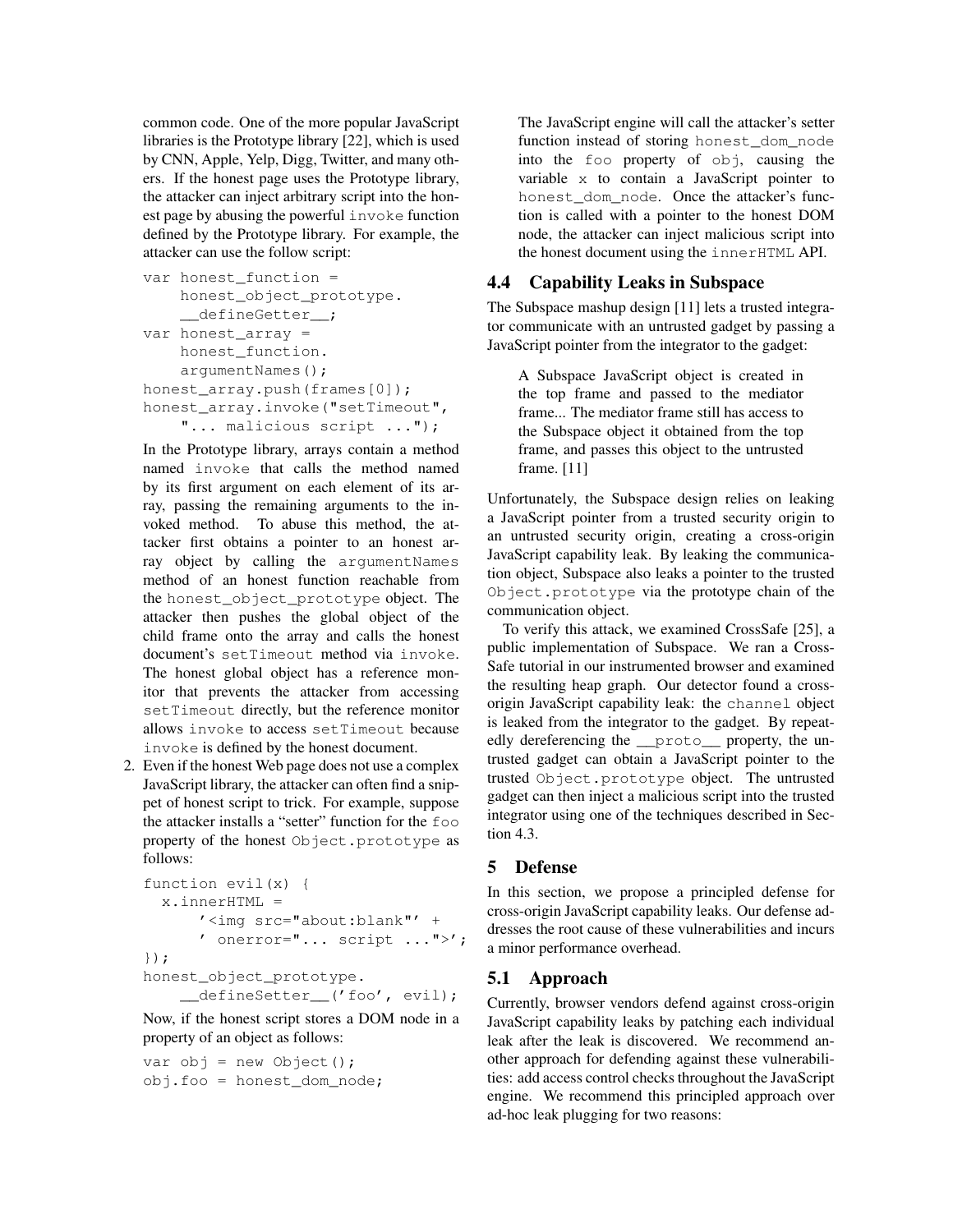common code. One of the more popular JavaScript libraries is the Prototype library [22], which is used by CNN, Apple, Yelp, Digg, Twitter, and many others. If the honest page uses the Prototype library, the attacker can inject arbitrary script into the honest page by abusing the powerful invoke function defined by the Prototype library. For example, the attacker can use the follow script:

```
var honest_function =
    honest_object_prototype.
    __defineGetter__;
var honest array =honest_function.
    argumentNames();
honest_array.push(frames[0]);
honest_array.invoke("setTimeout",
    "... malicious script ...");
```
In the Prototype library, arrays contain a method named invoke that calls the method named by its first argument on each element of its array, passing the remaining arguments to the invoked method. To abuse this method, the attacker first obtains a pointer to an honest array object by calling the argumentNames method of an honest function reachable from the honest\_object\_prototype object. The attacker then pushes the global object of the child frame onto the array and calls the honest document's setTimeout method via invoke. The honest global object has a reference monitor that prevents the attacker from accessing setTimeout directly, but the reference monitor allows invoke to access setTimeout because invoke is defined by the honest document.

2. Even if the honest Web page does not use a complex JavaScript library, the attacker can often find a snippet of honest script to trick. For example, suppose the attacker installs a "setter" function for the foo property of the honest Object.prototype as follows:

```
function evil(x) {
  x.innerHTML =
      '<img src="about:blank"' +
      ' onerror="... script ... ">';
});
honest_object_prototype.
    __defineSetter__('foo', evil);
```
Now, if the honest script stores a DOM node in a property of an object as follows:

```
var obj = new Object();
obj.foo = honest_dom_node;
```
The JavaScript engine will call the attacker's setter function instead of storing honest\_dom\_node into the foo property of obj, causing the variable x to contain a JavaScript pointer to honest dom node. Once the attacker's function is called with a pointer to the honest DOM node, the attacker can inject malicious script into the honest document using the innerHTML API.

## 4.4 Capability Leaks in Subspace

The Subspace mashup design [11] lets a trusted integrator communicate with an untrusted gadget by passing a JavaScript pointer from the integrator to the gadget:

A Subspace JavaScript object is created in the top frame and passed to the mediator frame... The mediator frame still has access to the Subspace object it obtained from the top frame, and passes this object to the untrusted frame. [11]

Unfortunately, the Subspace design relies on leaking a JavaScript pointer from a trusted security origin to an untrusted security origin, creating a cross-origin JavaScript capability leak. By leaking the communication object, Subspace also leaks a pointer to the trusted Object.prototype via the prototype chain of the communication object.

To verify this attack, we examined CrossSafe [25], a public implementation of Subspace. We ran a Cross-Safe tutorial in our instrumented browser and examined the resulting heap graph. Our detector found a crossorigin JavaScript capability leak: the channel object is leaked from the integrator to the gadget. By repeatedly dereferencing the \_\_proto\_\_ property, the untrusted gadget can obtain a JavaScript pointer to the trusted Object.prototype object. The untrusted gadget can then inject a malicious script into the trusted integrator using one of the techniques described in Section 4.3.

### 5 Defense

In this section, we propose a principled defense for cross-origin JavaScript capability leaks. Our defense addresses the root cause of these vulnerabilities and incurs a minor performance overhead.

#### 5.1 Approach

Currently, browser vendors defend against cross-origin JavaScript capability leaks by patching each individual leak after the leak is discovered. We recommend another approach for defending against these vulnerabilities: add access control checks throughout the JavaScript engine. We recommend this principled approach over ad-hoc leak plugging for two reasons: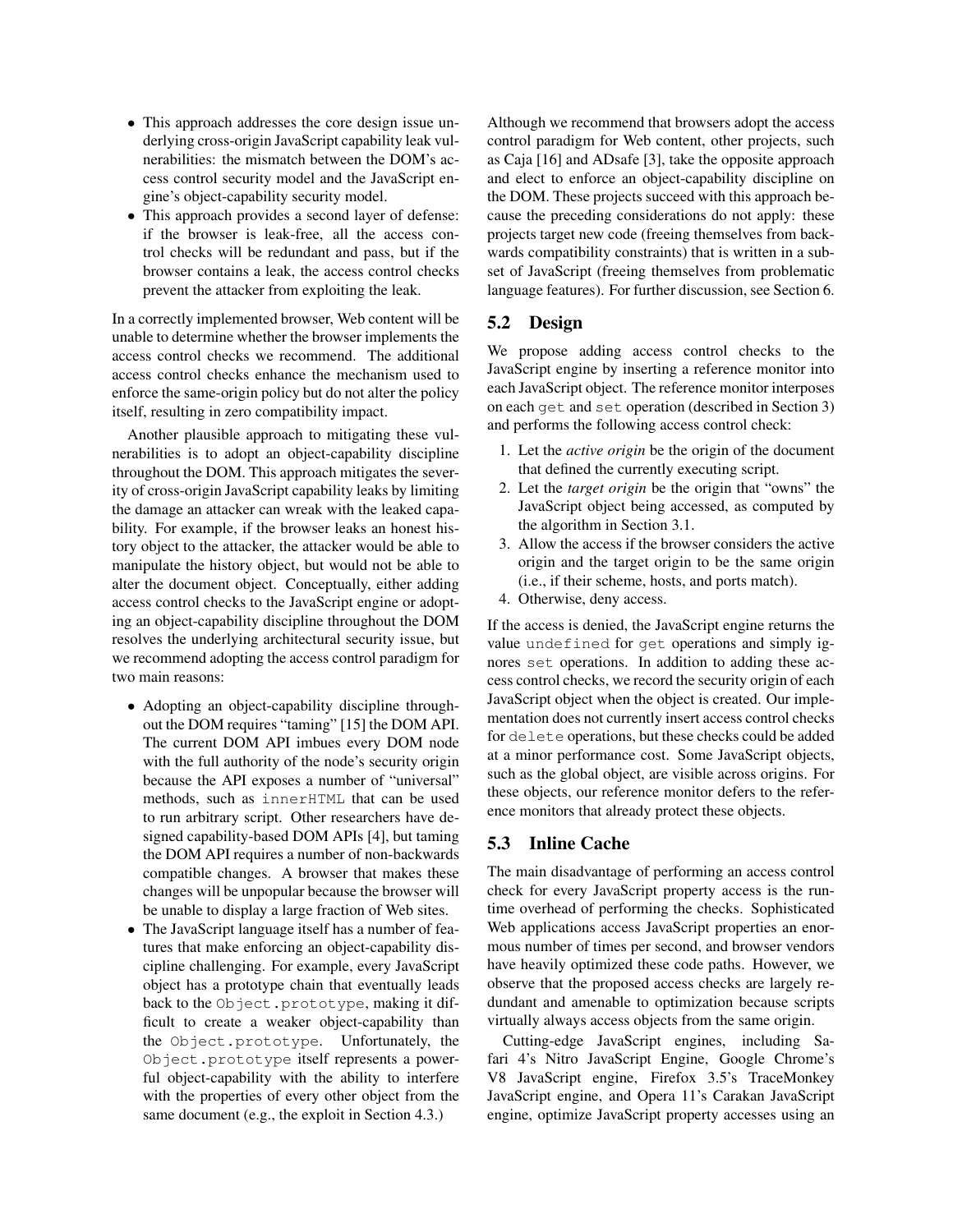- This approach addresses the core design issue underlying cross-origin JavaScript capability leak vulnerabilities: the mismatch between the DOM's access control security model and the JavaScript engine's object-capability security model.
- This approach provides a second layer of defense: if the browser is leak-free, all the access control checks will be redundant and pass, but if the browser contains a leak, the access control checks prevent the attacker from exploiting the leak.

In a correctly implemented browser, Web content will be unable to determine whether the browser implements the access control checks we recommend. The additional access control checks enhance the mechanism used to enforce the same-origin policy but do not alter the policy itself, resulting in zero compatibility impact.

Another plausible approach to mitigating these vulnerabilities is to adopt an object-capability discipline throughout the DOM. This approach mitigates the severity of cross-origin JavaScript capability leaks by limiting the damage an attacker can wreak with the leaked capability. For example, if the browser leaks an honest history object to the attacker, the attacker would be able to manipulate the history object, but would not be able to alter the document object. Conceptually, either adding access control checks to the JavaScript engine or adopting an object-capability discipline throughout the DOM resolves the underlying architectural security issue, but we recommend adopting the access control paradigm for two main reasons:

- Adopting an object-capability discipline throughout the DOM requires "taming" [15] the DOM API. The current DOM API imbues every DOM node with the full authority of the node's security origin because the API exposes a number of "universal" methods, such as innerHTML that can be used to run arbitrary script. Other researchers have designed capability-based DOM APIs [4], but taming the DOM API requires a number of non-backwards compatible changes. A browser that makes these changes will be unpopular because the browser will be unable to display a large fraction of Web sites.
- The JavaScript language itself has a number of features that make enforcing an object-capability discipline challenging. For example, every JavaScript object has a prototype chain that eventually leads back to the Object.prototype, making it difficult to create a weaker object-capability than the Object.prototype. Unfortunately, the Object.prototype itself represents a powerful object-capability with the ability to interfere with the properties of every other object from the same document (e.g., the exploit in Section 4.3.)

Although we recommend that browsers adopt the access control paradigm for Web content, other projects, such as Caja [16] and ADsafe [3], take the opposite approach and elect to enforce an object-capability discipline on the DOM. These projects succeed with this approach because the preceding considerations do not apply: these projects target new code (freeing themselves from backwards compatibility constraints) that is written in a subset of JavaScript (freeing themselves from problematic language features). For further discussion, see Section 6.

### 5.2 Design

We propose adding access control checks to the JavaScript engine by inserting a reference monitor into each JavaScript object. The reference monitor interposes on each get and set operation (described in Section 3) and performs the following access control check:

- 1. Let the *active origin* be the origin of the document that defined the currently executing script.
- 2. Let the *target origin* be the origin that "owns" the JavaScript object being accessed, as computed by the algorithm in Section 3.1.
- 3. Allow the access if the browser considers the active origin and the target origin to be the same origin (i.e., if their scheme, hosts, and ports match).
- 4. Otherwise, deny access.

If the access is denied, the JavaScript engine returns the value undefined for get operations and simply ignores set operations. In addition to adding these access control checks, we record the security origin of each JavaScript object when the object is created. Our implementation does not currently insert access control checks for delete operations, but these checks could be added at a minor performance cost. Some JavaScript objects, such as the global object, are visible across origins. For these objects, our reference monitor defers to the reference monitors that already protect these objects.

#### 5.3 Inline Cache

The main disadvantage of performing an access control check for every JavaScript property access is the runtime overhead of performing the checks. Sophisticated Web applications access JavaScript properties an enormous number of times per second, and browser vendors have heavily optimized these code paths. However, we observe that the proposed access checks are largely redundant and amenable to optimization because scripts virtually always access objects from the same origin.

Cutting-edge JavaScript engines, including Safari 4's Nitro JavaScript Engine, Google Chrome's V8 JavaScript engine, Firefox 3.5's TraceMonkey JavaScript engine, and Opera 11's Carakan JavaScript engine, optimize JavaScript property accesses using an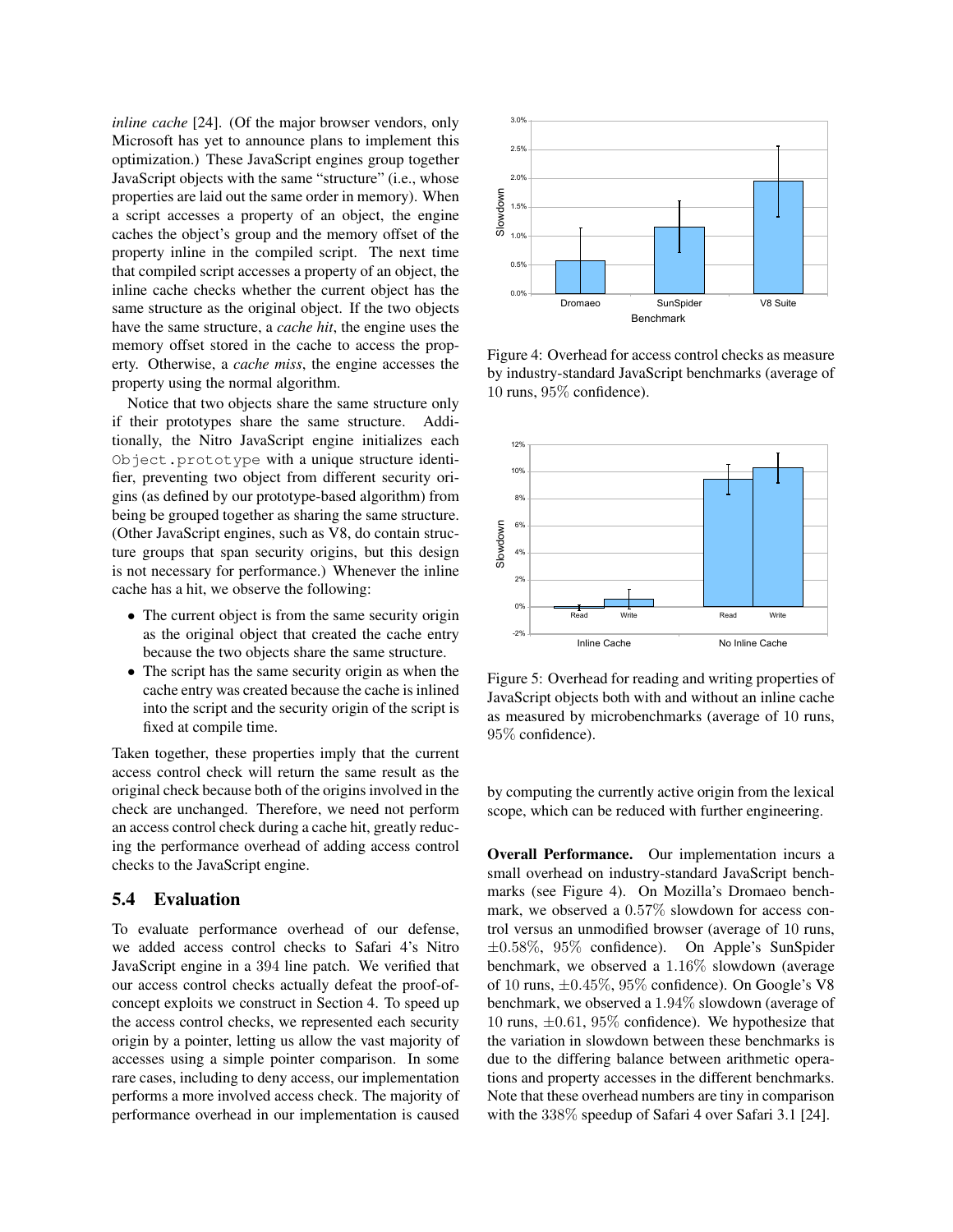*inline cache* [24]. (Of the major browser vendors, only Microsoft has yet to announce plans to implement this optimization.) These JavaScript engines group together JavaScript objects with the same "structure" (i.e., whose properties are laid out the same order in memory). When a script accesses a property of an object, the engine caches the object's group and the memory offset of the property inline in the compiled script. The next time that compiled script accesses a property of an object, the inline cache checks whether the current object has the same structure as the original object. If the two objects have the same structure, a *cache hit*, the engine uses the memory offset stored in the cache to access the property. Otherwise, a *cache miss*, the engine accesses the property using the normal algorithm.

Notice that two objects share the same structure only if their prototypes share the same structure. Additionally, the Nitro JavaScript engine initializes each Object.prototype with a unique structure identifier, preventing two object from different security origins (as defined by our prototype-based algorithm) from being be grouped together as sharing the same structure. (Other JavaScript engines, such as V8, do contain structure groups that span security origins, but this design is not necessary for performance.) Whenever the inline cache has a hit, we observe the following:

- The current object is from the same security origin as the original object that created the cache entry because the two objects share the same structure.
- The script has the same security origin as when the cache entry was created because the cache is inlined into the script and the security origin of the script is fixed at compile time.

Taken together, these properties imply that the current access control check will return the same result as the original check because both of the origins involved in the check are unchanged. Therefore, we need not perform an access control check during a cache hit, greatly reducing the performance overhead of adding access control checks to the JavaScript engine.

#### 5.4 Evaluation

To evaluate performance overhead of our defense, we added access control checks to Safari 4's Nitro JavaScript engine in a 394 line patch. We verified that our access control checks actually defeat the proof-ofconcept exploits we construct in Section 4. To speed up the access control checks, we represented each security origin by a pointer, letting us allow the vast majority of accesses using a simple pointer comparison. In some rare cases, including to deny access, our implementation performs a more involved access check. The majority of performance overhead in our implementation is caused



Figure 4: Overhead for access control checks as measure by industry-standard JavaScript benchmarks (average of 10 runs, 95% confidence).



Figure 5: Overhead for reading and writing properties of JavaScript objects both with and without an inline cache as measured by microbenchmarks (average of 10 runs, 95% confidence).

by computing the currently active origin from the lexical scope, which can be reduced with further engineering.

Overall Performance. Our implementation incurs a small overhead on industry-standard JavaScript benchmarks (see Figure 4). On Mozilla's Dromaeo benchmark, we observed a 0.57% slowdown for access control versus an unmodified browser (average of 10 runs, ±0.58%, 95% confidence). On Apple's SunSpider benchmark, we observed a 1.16% slowdown (average of 10 runs,  $\pm 0.45\%$ , 95% confidence). On Google's V8 benchmark, we observed a 1.94% slowdown (average of 10 runs,  $\pm 0.61$ , 95% confidence). We hypothesize that the variation in slowdown between these benchmarks is due to the differing balance between arithmetic operations and property accesses in the different benchmarks. Note that these overhead numbers are tiny in comparison with the 338% speedup of Safari 4 over Safari 3.1 [24].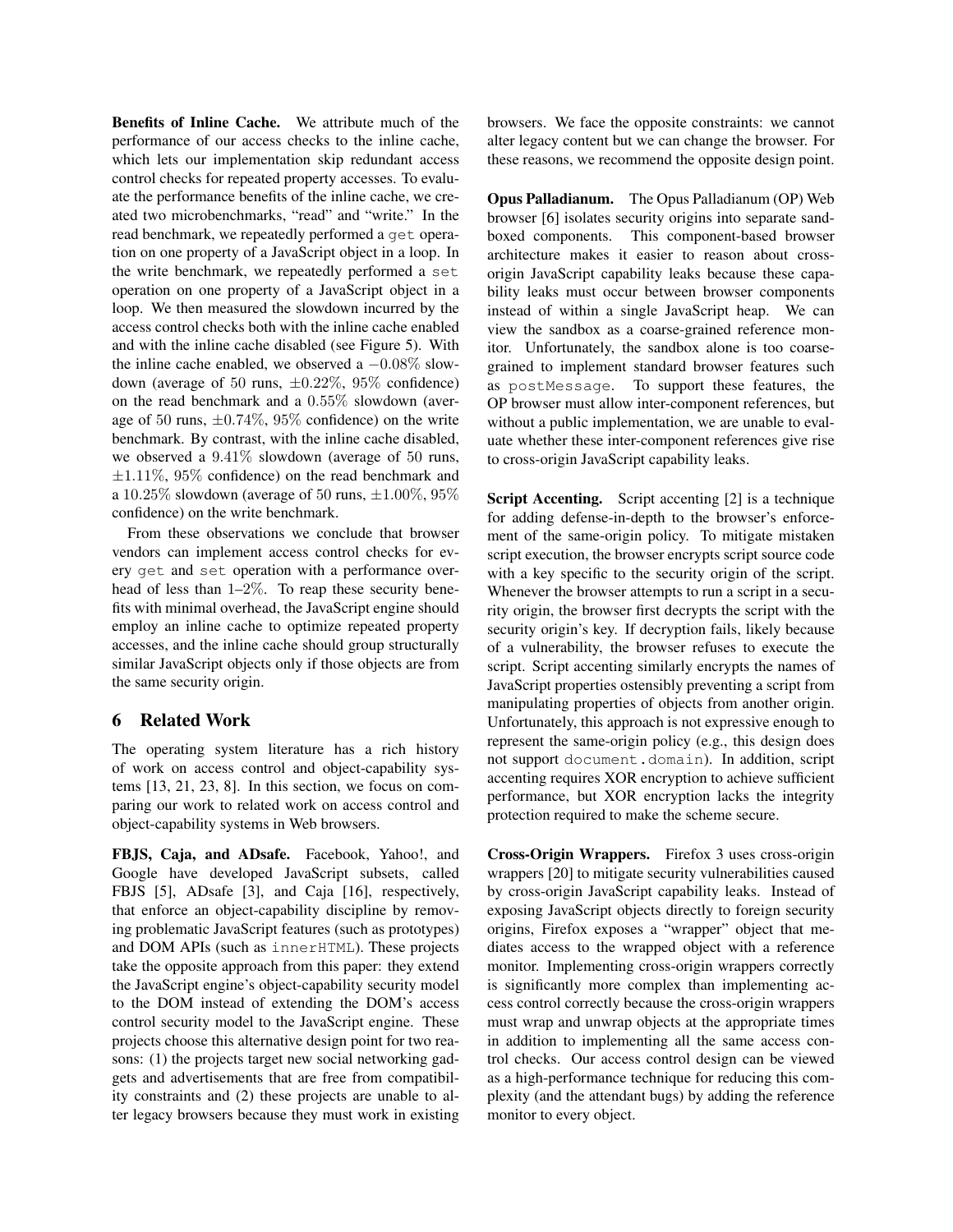Benefits of Inline Cache. We attribute much of the performance of our access checks to the inline cache, which lets our implementation skip redundant access control checks for repeated property accesses. To evaluate the performance benefits of the inline cache, we created two microbenchmarks, "read" and "write." In the read benchmark, we repeatedly performed a get operation on one property of a JavaScript object in a loop. In the write benchmark, we repeatedly performed a set operation on one property of a JavaScript object in a loop. We then measured the slowdown incurred by the access control checks both with the inline cache enabled and with the inline cache disabled (see Figure 5). With the inline cache enabled, we observed a  $-0.08\%$  slowdown (average of 50 runs,  $\pm 0.22\%$ , 95% confidence) on the read benchmark and a 0.55% slowdown (average of 50 runs,  $\pm 0.74\%$ , 95% confidence) on the write benchmark. By contrast, with the inline cache disabled, we observed a 9.41% slowdown (average of 50 runs,  $\pm 1.11\%$ , 95% confidence) on the read benchmark and a 10.25% slowdown (average of 50 runs,  $\pm 1.00\%$ , 95% confidence) on the write benchmark.

From these observations we conclude that browser vendors can implement access control checks for every get and set operation with a performance overhead of less than  $1-2\%$ . To reap these security benefits with minimal overhead, the JavaScript engine should employ an inline cache to optimize repeated property accesses, and the inline cache should group structurally similar JavaScript objects only if those objects are from the same security origin.

#### 6 Related Work

The operating system literature has a rich history of work on access control and object-capability systems [13, 21, 23, 8]. In this section, we focus on comparing our work to related work on access control and object-capability systems in Web browsers.

FBJS, Caja, and ADsafe. Facebook, Yahoo!, and Google have developed JavaScript subsets, called FBJS [5], ADsafe [3], and Caja [16], respectively, that enforce an object-capability discipline by removing problematic JavaScript features (such as prototypes) and DOM APIs (such as innerHTML). These projects take the opposite approach from this paper: they extend the JavaScript engine's object-capability security model to the DOM instead of extending the DOM's access control security model to the JavaScript engine. These projects choose this alternative design point for two reasons: (1) the projects target new social networking gadgets and advertisements that are free from compatibility constraints and (2) these projects are unable to alter legacy browsers because they must work in existing browsers. We face the opposite constraints: we cannot alter legacy content but we can change the browser. For these reasons, we recommend the opposite design point.

Opus Palladianum. The Opus Palladianum (OP) Web browser [6] isolates security origins into separate sandboxed components. This component-based browser architecture makes it easier to reason about crossorigin JavaScript capability leaks because these capability leaks must occur between browser components instead of within a single JavaScript heap. We can view the sandbox as a coarse-grained reference monitor. Unfortunately, the sandbox alone is too coarsegrained to implement standard browser features such as postMessage. To support these features, the OP browser must allow inter-component references, but without a public implementation, we are unable to evaluate whether these inter-component references give rise to cross-origin JavaScript capability leaks.

Script Accenting. Script accenting [2] is a technique for adding defense-in-depth to the browser's enforcement of the same-origin policy. To mitigate mistaken script execution, the browser encrypts script source code with a key specific to the security origin of the script. Whenever the browser attempts to run a script in a security origin, the browser first decrypts the script with the security origin's key. If decryption fails, likely because of a vulnerability, the browser refuses to execute the script. Script accenting similarly encrypts the names of JavaScript properties ostensibly preventing a script from manipulating properties of objects from another origin. Unfortunately, this approach is not expressive enough to represent the same-origin policy (e.g., this design does not support document.domain). In addition, script accenting requires XOR encryption to achieve sufficient performance, but XOR encryption lacks the integrity protection required to make the scheme secure.

Cross-Origin Wrappers. Firefox 3 uses cross-origin wrappers [20] to mitigate security vulnerabilities caused by cross-origin JavaScript capability leaks. Instead of exposing JavaScript objects directly to foreign security origins, Firefox exposes a "wrapper" object that mediates access to the wrapped object with a reference monitor. Implementing cross-origin wrappers correctly is significantly more complex than implementing access control correctly because the cross-origin wrappers must wrap and unwrap objects at the appropriate times in addition to implementing all the same access control checks. Our access control design can be viewed as a high-performance technique for reducing this complexity (and the attendant bugs) by adding the reference monitor to every object.